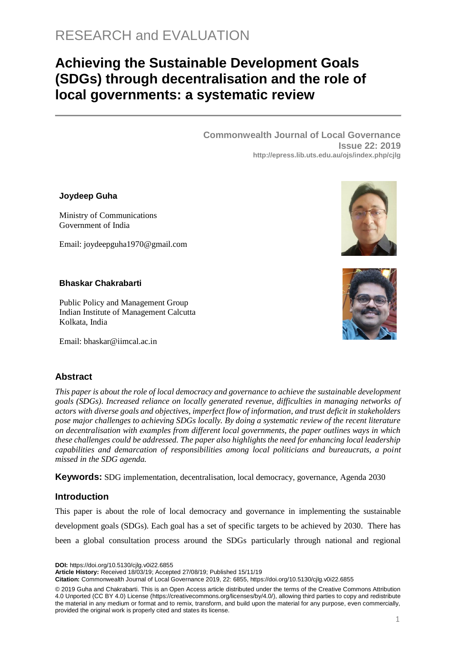# RESEARCH and EVALUATION

# **Achieving the Sustainable Development Goals (SDGs) through decentralisation and the role of local governments: a systematic review**

**Commonwealth Journal of Local Governance Issue 22: 2019 http://epress.lib.uts.edu.au/ojs/index.php/cjlg**

#### **Joydeep Guha**

Ministry of Communications Government of India

Email: joydeepguha1970@gmail.com

#### **Bhaskar Chakrabarti**

Public Policy and Management Group Indian Institute of Management Calcutta Kolkata, India

Email: bhaskar@iimcal.ac.in

## **Abstract**

*This paper is about the role of local democracy and governance to achieve the sustainable development goals (SDGs). Increased reliance on locally generated revenue, difficulties in managing networks of actors with diverse goals and objectives, imperfect flow of information, and trust deficit in stakeholders pose major challenges to achieving SDGs locally. By doing a systematic review of the recent literature on decentralisation with examples from different local governments, the paper outlines ways in which these challenges could be addressed. The paper also highlights the need for enhancing local leadership capabilities and demarcation of responsibilities among local politicians and bureaucrats, a point missed in the SDG agenda.*

**Keywords:** SDG implementation, decentralisation, local democracy, governance, Agenda 2030

## **Introduction**

This paper is about the role of local democracy and governance in implementing the sustainable development goals (SDGs). Each goal has a set of specific targets to be achieved by 2030. There has been a global consultation process around the SDGs particularly through national and regional

**DOI:** https://doi.org/10.5130/cjlg.v0i22.6855

**Article History:** Received 18/03/19; Accepted 27/08/19; Published 15/11/19

**Citation:** Commonwealth Journal of Local Governance 2019, 22: 6855, https://doi.org/10.5130/cjlg.v0i22.6855





<sup>© 2019</sup> Guha and Chakrabarti. This is an Open Access article distributed under the terms of the Creative Commons Attribution 4.0 Unported (CC BY 4.0) License [\(https://creativecommons.org/licenses/by/4.0/\)](https://creativecommons.org/licenses/by/4.0/), allowing third parties to copy and redistribute the material in any medium or format and to remix, transform, and build upon the material for any purpose, even commercially, provided the original work is properly cited and states its license.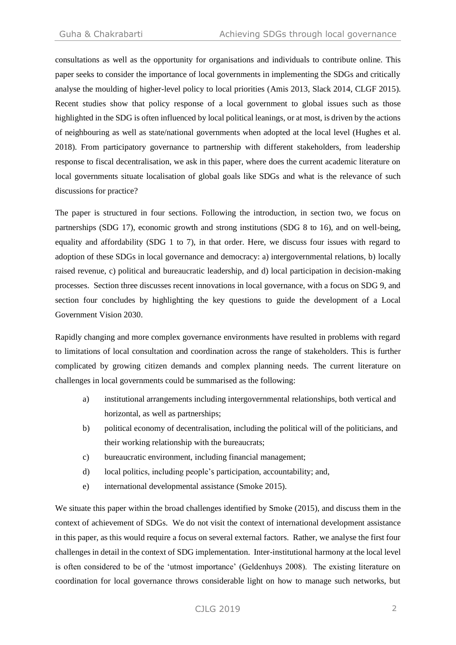consultations as well as the opportunity for organisations and individuals to contribute online. This paper seeks to consider the importance of local governments in implementing the SDGs and critically analyse the moulding of higher-level policy to local priorities (Amis 2013, Slack 2014, CLGF 2015). Recent studies show that policy response of a local government to global issues such as those highlighted in the SDG is often influenced by local political leanings, or at most, is driven by the actions of neighbouring as well as state/national governments when adopted at the local level (Hughes et al. 2018). From participatory governance to partnership with different stakeholders, from leadership response to fiscal decentralisation, we ask in this paper, where does the current academic literature on local governments situate localisation of global goals like SDGs and what is the relevance of such discussions for practice?

The paper is structured in four sections. Following the introduction, in section two, we focus on partnerships (SDG 17), economic growth and strong institutions (SDG 8 to 16), and on well-being, equality and affordability (SDG 1 to 7), in that order. Here, we discuss four issues with regard to adoption of these SDGs in local governance and democracy: a) intergovernmental relations, b) locally raised revenue, c) political and bureaucratic leadership, and d) local participation in decision-making processes. Section three discusses recent innovations in local governance, with a focus on SDG 9, and section four concludes by highlighting the key questions to guide the development of a Local Government Vision 2030.

Rapidly changing and more complex governance environments have resulted in problems with regard to limitations of local consultation and coordination across the range of stakeholders. This is further complicated by growing citizen demands and complex planning needs. The current literature on challenges in local governments could be summarised as the following:

- a) institutional arrangements including intergovernmental relationships, both vertical and horizontal, as well as partnerships;
- b) political economy of decentralisation, including the political will of the politicians, and their working relationship with the bureaucrats;
- c) bureaucratic environment, including financial management;
- d) local politics, including people's participation, accountability; and,
- e) international developmental assistance (Smoke 2015).

We situate this paper within the broad challenges identified by Smoke (2015), and discuss them in the context of achievement of SDGs. We do not visit the context of international development assistance in this paper, as this would require a focus on several external factors. Rather, we analyse the first four challenges in detail in the context of SDG implementation. Inter-institutional harmony at the local level is often considered to be of the 'utmost importance' (Geldenhuys 2008). The existing literature on coordination for local governance throws considerable light on how to manage such networks, but

# CJLG 2019 2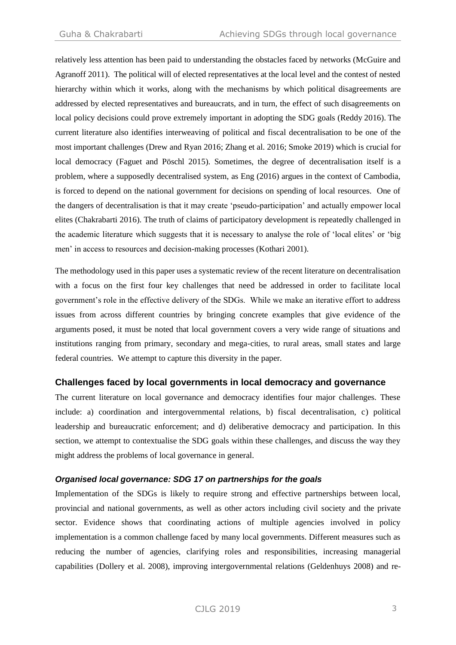relatively less attention has been paid to understanding the obstacles faced by networks (McGuire and Agranoff 2011). The political will of elected representatives at the local level and the contest of nested hierarchy within which it works, along with the mechanisms by which political disagreements are addressed by elected representatives and bureaucrats, and in turn, the effect of such disagreements on local policy decisions could prove extremely important in adopting the SDG goals (Reddy 2016). The current literature also identifies interweaving of political and fiscal decentralisation to be one of the most important challenges (Drew and Ryan 2016; Zhang et al. 2016; Smoke 2019) which is crucial for local democracy (Faguet and Pöschl 2015). Sometimes, the degree of decentralisation itself is a problem, where a supposedly decentralised system, as Eng (2016) argues in the context of Cambodia, is forced to depend on the national government for decisions on spending of local resources. One of the dangers of decentralisation is that it may create 'pseudo-participation' and actually empower local elites (Chakrabarti 2016). The truth of claims of participatory development is repeatedly challenged in the academic literature which suggests that it is necessary to analyse the role of 'local elites' or 'big men' in access to resources and decision-making processes (Kothari 2001).

The methodology used in this paper uses a systematic review of the recent literature on decentralisation with a focus on the first four key challenges that need be addressed in order to facilitate local government's role in the effective delivery of the SDGs. While we make an iterative effort to address issues from across different countries by bringing concrete examples that give evidence of the arguments posed, it must be noted that local government covers a very wide range of situations and institutions ranging from primary, secondary and mega-cities, to rural areas, small states and large federal countries. We attempt to capture this diversity in the paper.

## **Challenges faced by local governments in local democracy and governance**

The current literature on local governance and democracy identifies four major challenges. These include: a) coordination and intergovernmental relations, b) fiscal decentralisation, c) political leadership and bureaucratic enforcement; and d) deliberative democracy and participation. In this section, we attempt to contextualise the SDG goals within these challenges, and discuss the way they might address the problems of local governance in general.

## *Organised local governance: SDG 17 on partnerships for the goals*

Implementation of the SDGs is likely to require strong and effective partnerships between local, provincial and national governments, as well as other actors including civil society and the private sector. Evidence shows that coordinating actions of multiple agencies involved in policy implementation is a common challenge faced by many local governments. Different measures such as reducing the number of agencies, clarifying roles and responsibilities, increasing managerial capabilities (Dollery et al. 2008), improving intergovernmental relations (Geldenhuys 2008) and re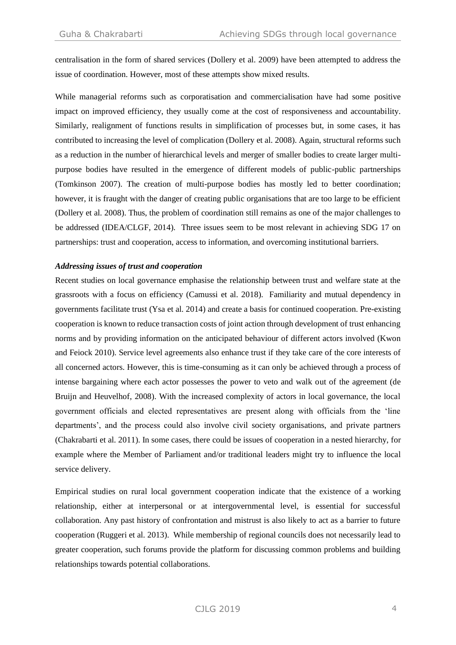centralisation in the form of shared services (Dollery et al. 2009) have been attempted to address the issue of coordination. However, most of these attempts show mixed results.

While managerial reforms such as corporatisation and commercialisation have had some positive impact on improved efficiency, they usually come at the cost of responsiveness and accountability. Similarly, realignment of functions results in simplification of processes but, in some cases, it has contributed to increasing the level of complication (Dollery et al. 2008). Again, structural reforms such as a reduction in the number of hierarchical levels and merger of smaller bodies to create larger multipurpose bodies have resulted in the emergence of different models of public-public partnerships (Tomkinson 2007). The creation of multi-purpose bodies has mostly led to better coordination; however, it is fraught with the danger of creating public organisations that are too large to be efficient (Dollery et al. 2008). Thus, the problem of coordination still remains as one of the major challenges to be addressed (IDEA/CLGF, 2014). Three issues seem to be most relevant in achieving SDG 17 on partnerships: trust and cooperation, access to information, and overcoming institutional barriers.

#### *Addressing issues of trust and cooperation*

Recent studies on local governance emphasise the relationship between trust and welfare state at the grassroots with a focus on efficiency (Camussi et al. 2018). Familiarity and mutual dependency in governments facilitate trust (Ysa et al. 2014) and create a basis for continued cooperation. Pre-existing cooperation is known to reduce transaction costs of joint action through development of trust enhancing norms and by providing information on the anticipated behaviour of different actors involved (Kwon and Feiock 2010). Service level agreements also enhance trust if they take care of the core interests of all concerned actors. However, this is time-consuming as it can only be achieved through a process of intense bargaining where each actor possesses the power to veto and walk out of the agreement (de Bruijn and Heuvelhof, 2008). With the increased complexity of actors in local governance, the local government officials and elected representatives are present along with officials from the 'line departments', and the process could also involve civil society organisations, and private partners (Chakrabarti et al. 2011). In some cases, there could be issues of cooperation in a nested hierarchy, for example where the Member of Parliament and/or traditional leaders might try to influence the local service delivery.

Empirical studies on rural local government cooperation indicate that the existence of a working relationship, either at interpersonal or at intergovernmental level, is essential for successful collaboration. Any past history of confrontation and mistrust is also likely to act as a barrier to future cooperation (Ruggeri et al. 2013). While membership of regional councils does not necessarily lead to greater cooperation, such forums provide the platform for discussing common problems and building relationships towards potential collaborations.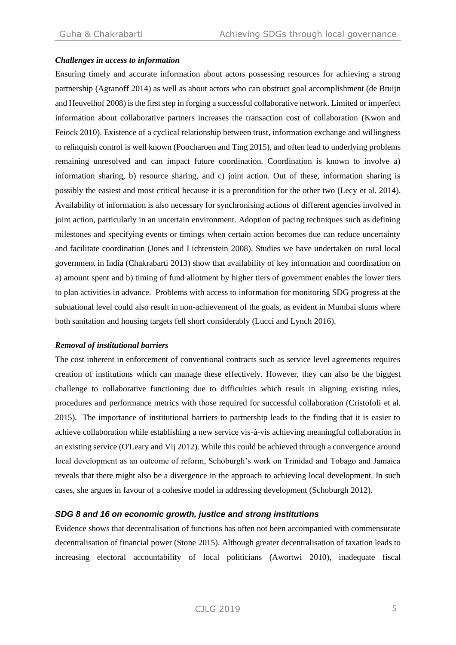#### *Challenges in access to information*

Ensuring timely and accurate information about actors possessing resources for achieving a strong partnership (Agranoff 2014) as well as about actors who can obstruct goal accomplishment (de Bruijn and Heuvelhof 2008) is the first step in forging a successful collaborative network. Limited or imperfect information about collaborative partners increases the transaction cost of collaboration (Kwon and Feiock 2010). Existence of a cyclical relationship between trust, information exchange and willingness to relinquish control is well known (Poocharoen and Ting 2015), and often lead to underlying problems remaining unresolved and can impact future coordination. Coordination is known to involve a) information sharing, b) resource sharing, and c) joint action. Out of these, information sharing is possibly the easiest and most critical because it is a precondition for the other two (Lecy et al. 2014). Availability of information is also necessary for synchronising actions of different agencies involved in joint action, particularly in an uncertain environment. Adoption of pacing techniques such as defining milestones and specifying events or timings when certain action becomes due can reduce uncertainty and facilitate coordination (Jones and Lichtenstein 2008). Studies we have undertaken on rural local government in India (Chakrabarti 2013) show that availability of key information and coordination on a) amount spent and b) timing of fund allotment by higher tiers of government enables the lower tiers to plan activities in advance. Problems with access to information for monitoring SDG progress at the subnational level could also result in non-achievement of the goals, as evident in Mumbai slums where both sanitation and housing targets fell short considerably (Lucci and Lynch 2016).

#### *Removal of institutional barriers*

The cost inherent in enforcement of conventional contracts such as service level agreements requires creation of institutions which can manage these effectively. However, they can also be the biggest challenge to collaborative functioning due to difficulties which result in aligning existing rules, procedures and performance metrics with those required for successful collaboration (Cristofoli et al. 2015). The importance of institutional barriers to partnership leads to the finding that it is easier to achieve collaboration while establishing a new service vis-à-vis achieving meaningful collaboration in an existing service (O'Leary and Vij 2012). While this could be achieved through a convergence around local development as an outcome of reform, Schoburgh's work on Trinidad and Tobago and Jamaica reveals that there might also be a divergence in the approach to achieving local development. In such cases, she argues in favour of a cohesive model in addressing development (Schoburgh 2012).

#### *SDG 8 and 16 on economic growth, justice and strong institutions*

Evidence shows that decentralisation of functions has often not been accompanied with commensurate decentralisation of financial power (Stone 2015). Although greater decentralisation of taxation leads to increasing electoral accountability of local politicians (Awortwi 2010), inadequate fiscal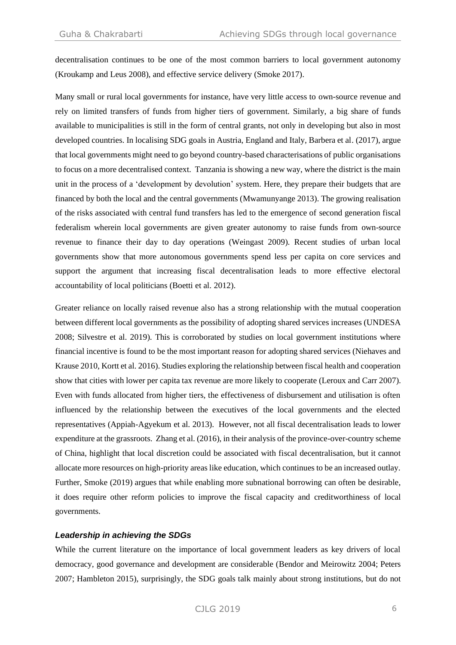decentralisation continues to be one of the most common barriers to local government autonomy (Kroukamp and Leus 2008), and effective service delivery (Smoke 2017).

Many small or rural local governments for instance, have very little access to own-source revenue and rely on limited transfers of funds from higher tiers of government. Similarly, a big share of funds available to municipalities is still in the form of central grants, not only in developing but also in most developed countries. In localising SDG goals in Austria, England and Italy, Barbera et al. (2017), argue that local governments might need to go beyond country-based characterisations of public organisations to focus on a more decentralised context. Tanzania is showing a new way, where the district is the main unit in the process of a 'development by devolution' system. Here, they prepare their budgets that are financed by both the local and the central governments (Mwamunyange 2013). The growing realisation of the risks associated with central fund transfers has led to the emergence of second generation fiscal federalism wherein local governments are given greater autonomy to raise funds from own-source revenue to finance their day to day operations (Weingast 2009). Recent studies of urban local governments show that more autonomous governments spend less per capita on core services and support the argument that increasing fiscal decentralisation leads to more effective electoral accountability of local politicians (Boetti et al. 2012).

Greater reliance on locally raised revenue also has a strong relationship with the mutual cooperation between different local governments as the possibility of adopting shared services increases (UNDESA 2008; Silvestre et al. 2019). This is corroborated by studies on local government institutions where financial incentive is found to be the most important reason for adopting shared services (Niehaves and Krause 2010, Kortt et al. 2016). Studies exploring the relationship between fiscal health and cooperation show that cities with lower per capita tax revenue are more likely to cooperate (Leroux and Carr 2007). Even with funds allocated from higher tiers, the effectiveness of disbursement and utilisation is often influenced by the relationship between the executives of the local governments and the elected representatives (Appiah-Agyekum et al. 2013). However, not all fiscal decentralisation leads to lower expenditure at the grassroots. Zhang et al. (2016), in their analysis of the province-over-country scheme of China, highlight that local discretion could be associated with fiscal decentralisation, but it cannot allocate more resources on high-priority areas like education, which continues to be an increased outlay. Further, Smoke (2019) argues that while enabling more subnational borrowing can often be desirable, it does require other reform policies to improve the fiscal capacity and creditworthiness of local governments.

## *Leadership in achieving the SDGs*

While the current literature on the importance of local government leaders as key drivers of local democracy, good governance and development are considerable (Bendor and Meirowitz 2004; Peters 2007; Hambleton 2015), surprisingly, the SDG goals talk mainly about strong institutions, but do not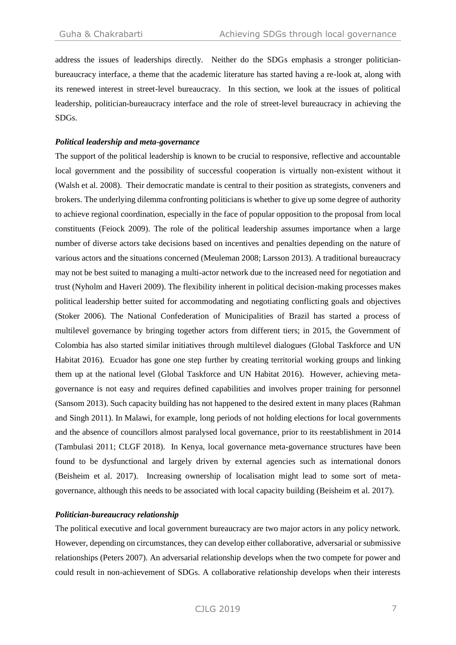address the issues of leaderships directly. Neither do the SDGs emphasis a stronger politicianbureaucracy interface, a theme that the academic literature has started having a re-look at, along with its renewed interest in street-level bureaucracy. In this section, we look at the issues of political leadership, politician-bureaucracy interface and the role of street-level bureaucracy in achieving the SDGs.

#### *Political leadership and meta-governance*

The support of the political leadership is known to be crucial to responsive, reflective and accountable local government and the possibility of successful cooperation is virtually non-existent without it (Walsh et al. 2008). Their democratic mandate is central to their position as strategists, conveners and brokers. The underlying dilemma confronting politicians is whether to give up some degree of authority to achieve regional coordination, especially in the face of popular opposition to the proposal from local constituents (Feiock 2009). The role of the political leadership assumes importance when a large number of diverse actors take decisions based on incentives and penalties depending on the nature of various actors and the situations concerned (Meuleman 2008; Larsson 2013). A traditional bureaucracy may not be best suited to managing a multi-actor network due to the increased need for negotiation and trust (Nyholm and Haveri 2009). The flexibility inherent in political decision-making processes makes political leadership better suited for accommodating and negotiating conflicting goals and objectives (Stoker 2006). The National Confederation of Municipalities of Brazil has started a process of multilevel governance by bringing together actors from different tiers; in 2015, the Government of Colombia has also started similar initiatives through multilevel dialogues (Global Taskforce and UN Habitat 2016). Ecuador has gone one step further by creating territorial working groups and linking them up at the national level (Global Taskforce and UN Habitat 2016). However, achieving metagovernance is not easy and requires defined capabilities and involves proper training for personnel (Sansom 2013). Such capacity building has not happened to the desired extent in many places (Rahman and Singh 2011). In Malawi, for example, long periods of not holding elections for local governments and the absence of councillors almost paralysed local governance, prior to its reestablishment in 2014 (Tambulasi 2011; CLGF 2018). In Kenya, local governance meta-governance structures have been found to be dysfunctional and largely driven by external agencies such as international donors (Beisheim et al. 2017). Increasing ownership of localisation might lead to some sort of metagovernance, although this needs to be associated with local capacity building (Beisheim et al. 2017).

#### *Politician-bureaucracy relationship*

The political executive and local government bureaucracy are two major actors in any policy network. However, depending on circumstances, they can develop either collaborative, adversarial or submissive relationships (Peters 2007). An adversarial relationship develops when the two compete for power and could result in non-achievement of SDGs. A collaborative relationship develops when their interests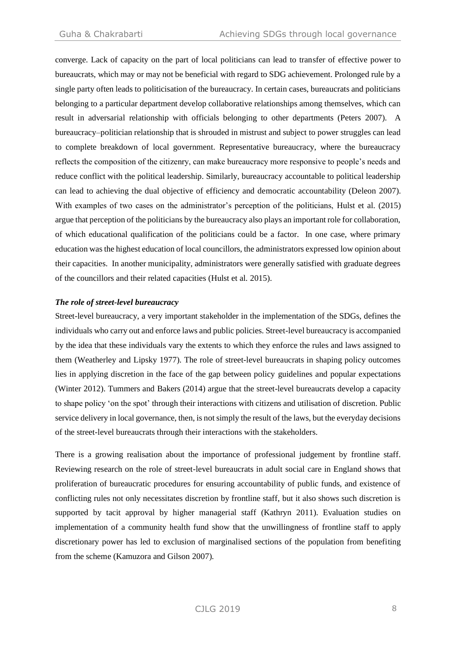converge. Lack of capacity on the part of local politicians can lead to transfer of effective power to bureaucrats, which may or may not be beneficial with regard to SDG achievement. Prolonged rule by a single party often leads to politicisation of the bureaucracy. In certain cases, bureaucrats and politicians belonging to a particular department develop collaborative relationships among themselves, which can result in adversarial relationship with officials belonging to other departments (Peters 2007). A bureaucracy–politician relationship that is shrouded in mistrust and subject to power struggles can lead to complete breakdown of local government. Representative bureaucracy, where the bureaucracy reflects the composition of the citizenry, can make bureaucracy more responsive to people's needs and reduce conflict with the political leadership. Similarly, bureaucracy accountable to political leadership can lead to achieving the dual objective of efficiency and democratic accountability (Deleon 2007). With examples of two cases on the administrator's perception of the politicians, Hulst et al. (2015) argue that perception of the politicians by the bureaucracy also plays an important role for collaboration, of which educational qualification of the politicians could be a factor. In one case, where primary education was the highest education of local councillors, the administrators expressed low opinion about their capacities. In another municipality, administrators were generally satisfied with graduate degrees of the councillors and their related capacities (Hulst et al. 2015).

#### *The role of street-level bureaucracy*

Street-level bureaucracy, a very important stakeholder in the implementation of the SDGs, defines the individuals who carry out and enforce laws and public policies. Street-level bureaucracy is accompanied by the idea that these individuals vary the extents to which they enforce the rules and laws assigned to them (Weatherley and Lipsky 1977). The role of street-level bureaucrats in shaping policy outcomes lies in applying discretion in the face of the gap between policy guidelines and popular expectations (Winter 2012). Tummers and Bakers (2014) argue that the street-level bureaucrats develop a capacity to shape policy 'on the spot' through their interactions with citizens and utilisation of discretion. Public service delivery in local governance, then, is not simply the result of the laws, but the everyday decisions of the street-level bureaucrats through their interactions with the stakeholders.

There is a growing realisation about the importance of professional judgement by frontline staff. Reviewing research on the role of street-level bureaucrats in adult social care in England shows that proliferation of bureaucratic procedures for ensuring accountability of public funds, and existence of conflicting rules not only necessitates discretion by frontline staff, but it also shows such discretion is supported by tacit approval by higher managerial staff (Kathryn 2011). Evaluation studies on implementation of a community health fund show that the unwillingness of frontline staff to apply discretionary power has led to exclusion of marginalised sections of the population from benefiting from the scheme (Kamuzora and Gilson 2007).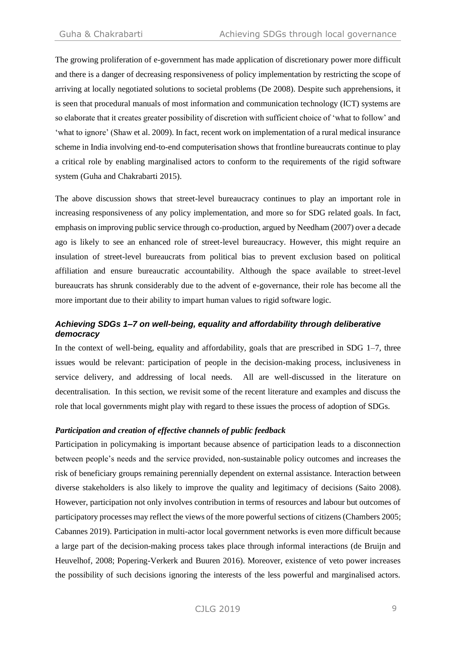The growing proliferation of e-government has made application of discretionary power more difficult and there is a danger of decreasing responsiveness of policy implementation by restricting the scope of arriving at locally negotiated solutions to societal problems (De 2008). Despite such apprehensions, it is seen that procedural manuals of most information and communication technology (ICT) systems are so elaborate that it creates greater possibility of discretion with sufficient choice of 'what to follow' and 'what to ignore' (Shaw et al. 2009). In fact, recent work on implementation of a rural medical insurance scheme in India involving end-to-end computerisation shows that frontline bureaucrats continue to play a critical role by enabling marginalised actors to conform to the requirements of the rigid software system (Guha and Chakrabarti 2015).

The above discussion shows that street-level bureaucracy continues to play an important role in increasing responsiveness of any policy implementation, and more so for SDG related goals. In fact, emphasis on improving public service through co-production, argued by Needham (2007) over a decade ago is likely to see an enhanced role of street-level bureaucracy. However, this might require an insulation of street-level bureaucrats from political bias to prevent exclusion based on political affiliation and ensure bureaucratic accountability. Although the space available to street-level bureaucrats has shrunk considerably due to the advent of e-governance, their role has become all the more important due to their ability to impart human values to rigid software logic.

# *Achieving SDGs 1–7 on well-being, equality and affordability through deliberative democracy*

In the context of well-being, equality and affordability, goals that are prescribed in SDG 1–7, three issues would be relevant: participation of people in the decision-making process, inclusiveness in service delivery, and addressing of local needs. All are well-discussed in the literature on decentralisation. In this section, we revisit some of the recent literature and examples and discuss the role that local governments might play with regard to these issues the process of adoption of SDGs.

#### *Participation and creation of effective channels of public feedback*

Participation in policymaking is important because absence of participation leads to a disconnection between people's needs and the service provided, non-sustainable policy outcomes and increases the risk of beneficiary groups remaining perennially dependent on external assistance. Interaction between diverse stakeholders is also likely to improve the quality and legitimacy of decisions (Saito 2008). However, participation not only involves contribution in terms of resources and labour but outcomes of participatory processes may reflect the views of the more powerful sections of citizens (Chambers 2005; Cabannes 2019). Participation in multi-actor local government networks is even more difficult because a large part of the decision-making process takes place through informal interactions (de Bruijn and Heuvelhof, 2008; Popering-Verkerk and Buuren 2016). Moreover, existence of veto power increases the possibility of such decisions ignoring the interests of the less powerful and marginalised actors.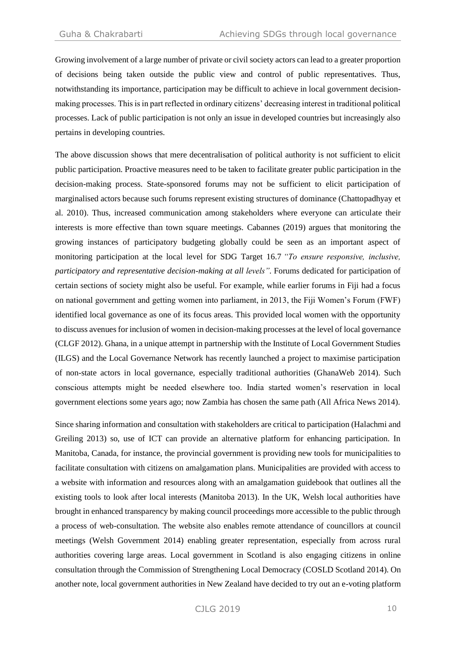Growing involvement of a large number of private or civil society actors can lead to a greater proportion of decisions being taken outside the public view and control of public representatives. Thus, notwithstanding its importance, participation may be difficult to achieve in local government decisionmaking processes. This is in part reflected in ordinary citizens' decreasing interest in traditional political processes. Lack of public participation is not only an issue in developed countries but increasingly also pertains in developing countries.

The above discussion shows that mere decentralisation of political authority is not sufficient to elicit public participation. Proactive measures need to be taken to facilitate greater public participation in the decision-making process. State-sponsored forums may not be sufficient to elicit participation of marginalised actors because such forums represent existing structures of dominance (Chattopadhyay et al. 2010). Thus, increased communication among stakeholders where everyone can articulate their interests is more effective than town square meetings. Cabannes (2019) argues that monitoring the growing instances of participatory budgeting globally could be seen as an important aspect of monitoring participation at the local level for SDG Target 16.7 *"To ensure responsive, inclusive, participatory and representative decision-making at all levels".* Forums dedicated for participation of certain sections of society might also be useful. For example, while earlier forums in Fiji had a focus on national government and getting women into parliament, in 2013, the Fiji Women's Forum (FWF) identified local governance as one of its focus areas. This provided local women with the opportunity to discuss avenues for inclusion of women in decision-making processes at the level of local governance (CLGF 2012). Ghana, in a unique attempt in partnership with the Institute of Local Government Studies (ILGS) and the Local Governance Network has recently launched a project to maximise participation of non-state actors in local governance, especially traditional authorities (GhanaWeb 2014). Such conscious attempts might be needed elsewhere too. India started women's reservation in local government elections some years ago; now Zambia has chosen the same path (All Africa News 2014).

Since sharing information and consultation with stakeholders are critical to participation (Halachmi and Greiling 2013) so, use of ICT can provide an alternative platform for enhancing participation. In Manitoba, Canada, for instance, the provincial government is providing new tools for municipalities to facilitate consultation with citizens on amalgamation plans. Municipalities are provided with access to a website with information and resources along with an amalgamation guidebook that outlines all the existing tools to look after local interests (Manitoba 2013). In the UK, Welsh local authorities have brought in enhanced transparency by making council proceedings more accessible to the public through a process of web-consultation. The website also enables remote attendance of councillors at council meetings (Welsh Government 2014) enabling greater representation, especially from across rural authorities covering large areas. Local government in Scotland is also engaging citizens in online consultation through the Commission of Strengthening Local Democracy (COSLD Scotland 2014). On another note, local government authorities in New Zealand have decided to try out an e-voting platform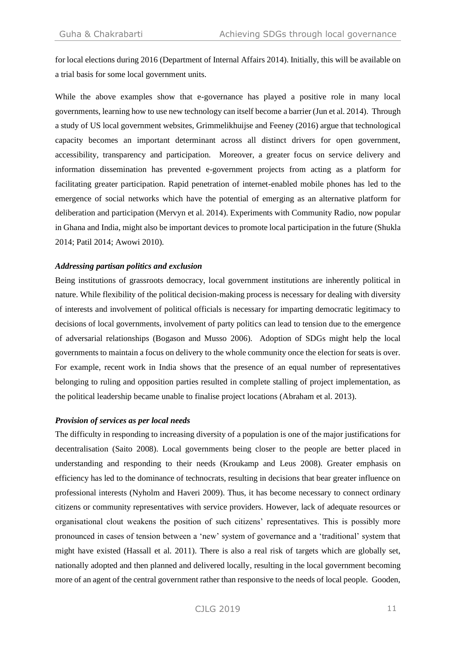for local elections during 2016 (Department of Internal Affairs 2014). Initially, this will be available on a trial basis for some local government units.

While the above examples show that e-governance has played a positive role in many local governments, learning how to use new technology can itself become a barrier (Jun et al. 2014). Through a study of US local government websites, Grimmelikhuijse and Feeney (2016) argue that technological capacity becomes an important determinant across all distinct drivers for open government, accessibility, transparency and participation. Moreover, a greater focus on service delivery and information dissemination has prevented e-government projects from acting as a platform for facilitating greater participation. Rapid penetration of internet-enabled mobile phones has led to the emergence of social networks which have the potential of emerging as an alternative platform for deliberation and participation (Mervyn et al. 2014). Experiments with Community Radio, now popular in Ghana and India, might also be important devices to promote local participation in the future (Shukla 2014; Patil 2014; Awowi 2010).

#### *Addressing partisan politics and exclusion*

Being institutions of grassroots democracy, local government institutions are inherently political in nature. While flexibility of the political decision-making process is necessary for dealing with diversity of interests and involvement of political officials is necessary for imparting democratic legitimacy to decisions of local governments, involvement of party politics can lead to tension due to the emergence of adversarial relationships (Bogason and Musso 2006). Adoption of SDGs might help the local governments to maintain a focus on delivery to the whole community once the election for seats is over. For example, recent work in India shows that the presence of an equal number of representatives belonging to ruling and opposition parties resulted in complete stalling of project implementation, as the political leadership became unable to finalise project locations (Abraham et al. 2013).

#### *Provision of services as per local needs*

The difficulty in responding to increasing diversity of a population is one of the major justifications for decentralisation (Saito 2008). Local governments being closer to the people are better placed in understanding and responding to their needs (Kroukamp and Leus 2008). Greater emphasis on efficiency has led to the dominance of technocrats, resulting in decisions that bear greater influence on professional interests (Nyholm and Haveri 2009). Thus, it has become necessary to connect ordinary citizens or community representatives with service providers. However, lack of adequate resources or organisational clout weakens the position of such citizens' representatives. This is possibly more pronounced in cases of tension between a 'new' system of governance and a 'traditional' system that might have existed (Hassall et al. 2011). There is also a real risk of targets which are globally set, nationally adopted and then planned and delivered locally, resulting in the local government becoming more of an agent of the central government rather than responsive to the needs of local people. Gooden,

# CJLG 2019 11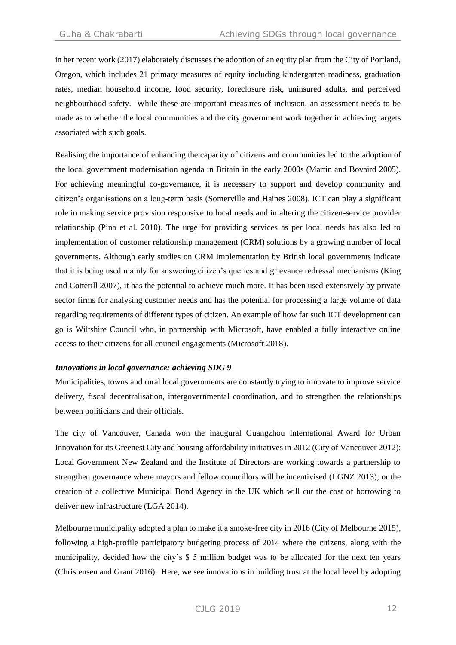in her recent work (2017) elaborately discusses the adoption of an equity plan from the City of Portland, Oregon, which includes 21 primary measures of equity including kindergarten readiness, graduation rates, median household income, food security, foreclosure risk, uninsured adults, and perceived neighbourhood safety. While these are important measures of inclusion, an assessment needs to be made as to whether the local communities and the city government work together in achieving targets associated with such goals.

Realising the importance of enhancing the capacity of citizens and communities led to the adoption of the local government modernisation agenda in Britain in the early 2000s (Martin and Bovaird 2005). For achieving meaningful co-governance, it is necessary to support and develop community and citizen's organisations on a long-term basis (Somerville and Haines 2008). ICT can play a significant role in making service provision responsive to local needs and in altering the citizen-service provider relationship (Pina et al. 2010). The urge for providing services as per local needs has also led to implementation of customer relationship management (CRM) solutions by a growing number of local governments. Although early studies on CRM implementation by British local governments indicate that it is being used mainly for answering citizen's queries and grievance redressal mechanisms (King and Cotterill 2007), it has the potential to achieve much more. It has been used extensively by private sector firms for analysing customer needs and has the potential for processing a large volume of data regarding requirements of different types of citizen. An example of how far such ICT development can go is Wiltshire Council who, in partnership with Microsoft, have enabled a fully interactive online access to their citizens for all council engagements (Microsoft 2018).

#### *Innovations in local governance: achieving SDG 9*

Municipalities, towns and rural local governments are constantly trying to innovate to improve service delivery, fiscal decentralisation, intergovernmental coordination, and to strengthen the relationships between politicians and their officials.

The city of Vancouver, Canada won the inaugural Guangzhou International Award for Urban Innovation for its Greenest City and housing affordability initiatives in 2012 (City of Vancouver 2012); Local Government New Zealand and the Institute of Directors are working towards a partnership to strengthen governance where mayors and fellow councillors will be incentivised (LGNZ 2013); or the creation of a collective Municipal Bond Agency in the UK which will cut the cost of borrowing to deliver new infrastructure (LGA 2014).

Melbourne municipality adopted a plan to make it a smoke-free city in 2016 (City of Melbourne 2015), following a high-profile participatory budgeting process of 2014 where the citizens, along with the municipality, decided how the city's \$ 5 million budget was to be allocated for the next ten years (Christensen and Grant 2016). Here, we see innovations in building trust at the local level by adopting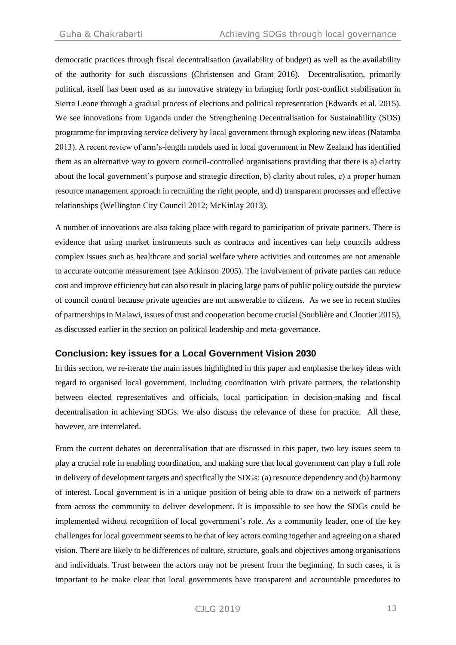democratic practices through fiscal decentralisation (availability of budget) as well as the availability of the authority for such discussions (Christensen and Grant 2016). Decentralisation, primarily political, itself has been used as an innovative strategy in bringing forth post-conflict stabilisation in Sierra Leone through a gradual process of elections and political representation (Edwards et al. 2015). We see innovations from Uganda under the Strengthening Decentralisation for Sustainability (SDS) programme for improving service delivery by local government through exploring new ideas (Natamba 2013). A recent review of arm's-length models used in local government in New Zealand has identified them as an alternative way to govern council-controlled organisations providing that there is a) clarity about the local government's purpose and strategic direction, b) clarity about roles, c) a proper human resource management approach in recruiting the right people, and d) transparent processes and effective relationships (Wellington City Council 2012; McKinlay 2013).

A number of innovations are also taking place with regard to participation of private partners. There is evidence that using market instruments such as contracts and incentives can help councils address complex issues such as healthcare and social welfare where activities and outcomes are not amenable to accurate outcome measurement (see Atkinson 2005). The involvement of private parties can reduce cost and improve efficiency but can also result in placing large parts of public policy outside the purview of council control because private agencies are not answerable to citizens. As we see in recent studies of partnerships in Malawi, issues of trust and cooperation become crucial (Soublière and Cloutier 2015), as discussed earlier in the section on political leadership and meta-governance.

## **Conclusion: key issues for a Local Government Vision 2030**

In this section, we re-iterate the main issues highlighted in this paper and emphasise the key ideas with regard to organised local government, including coordination with private partners, the relationship between elected representatives and officials, local participation in decision-making and fiscal decentralisation in achieving SDGs. We also discuss the relevance of these for practice. All these, however, are interrelated.

From the current debates on decentralisation that are discussed in this paper, two key issues seem to play a crucial role in enabling coordination, and making sure that local government can play a full role in delivery of development targets and specifically the SDGs: (a) resource dependency and (b) harmony of interest. Local government is in a unique position of being able to draw on a network of partners from across the community to deliver development. It is impossible to see how the SDGs could be implemented without recognition of local government's role. As a community leader, one of the key challenges for local government seems to be that of key actors coming together and agreeing on a shared vision. There are likely to be differences of culture, structure, goals and objectives among organisations and individuals. Trust between the actors may not be present from the beginning. In such cases, it is important to be make clear that local governments have transparent and accountable procedures to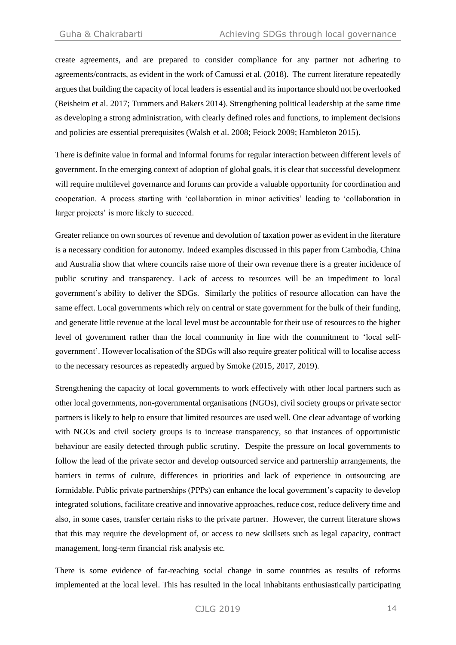create agreements, and are prepared to consider compliance for any partner not adhering to agreements/contracts, as evident in the work of Camussi et al. (2018). The current literature repeatedly argues that building the capacity of local leaders is essential and its importance should not be overlooked (Beisheim et al. 2017; Tummers and Bakers 2014). Strengthening political leadership at the same time as developing a strong administration, with clearly defined roles and functions, to implement decisions and policies are essential prerequisites (Walsh et al. 2008; Feiock 2009; Hambleton 2015).

There is definite value in formal and informal forums for regular interaction between different levels of government. In the emerging context of adoption of global goals, it is clear that successful development will require multilevel governance and forums can provide a valuable opportunity for coordination and cooperation. A process starting with 'collaboration in minor activities' leading to 'collaboration in larger projects' is more likely to succeed.

Greater reliance on own sources of revenue and devolution of taxation power as evident in the literature is a necessary condition for autonomy. Indeed examples discussed in this paper from Cambodia, China and Australia show that where councils raise more of their own revenue there is a greater incidence of public scrutiny and transparency. Lack of access to resources will be an impediment to local government's ability to deliver the SDGs. Similarly the politics of resource allocation can have the same effect. Local governments which rely on central or state government for the bulk of their funding, and generate little revenue at the local level must be accountable for their use of resources to the higher level of government rather than the local community in line with the commitment to 'local selfgovernment'. However localisation of the SDGs will also require greater political will to localise access to the necessary resources as repeatedly argued by Smoke (2015, 2017, 2019).

Strengthening the capacity of local governments to work effectively with other local partners such as other local governments, non-governmental organisations (NGOs), civil society groups or private sector partners is likely to help to ensure that limited resources are used well. One clear advantage of working with NGOs and civil society groups is to increase transparency, so that instances of opportunistic behaviour are easily detected through public scrutiny. Despite the pressure on local governments to follow the lead of the private sector and develop outsourced service and partnership arrangements, the barriers in terms of culture, differences in priorities and lack of experience in outsourcing are formidable. Public private partnerships (PPPs) can enhance the local government's capacity to develop integrated solutions, facilitate creative and innovative approaches, reduce cost, reduce delivery time and also, in some cases, transfer certain risks to the private partner. However, the current literature shows that this may require the development of, or access to new skillsets such as legal capacity, contract management, long-term financial risk analysis etc.

There is some evidence of far-reaching social change in some countries as results of reforms implemented at the local level. This has resulted in the local inhabitants enthusiastically participating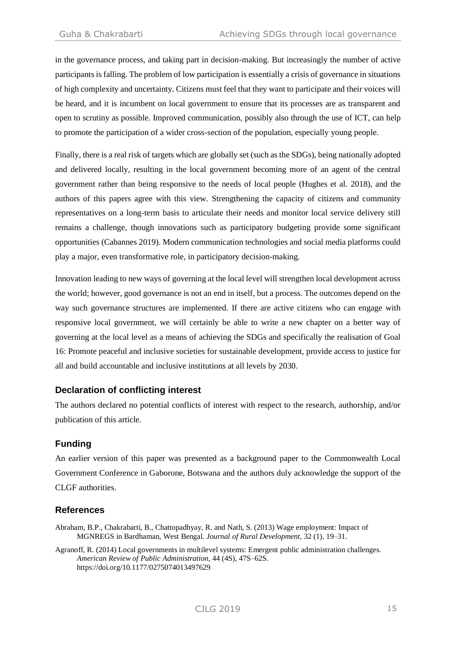in the governance process, and taking part in decision-making. But increasingly the number of active participants is falling. The problem of low participation is essentially a crisis of governance in situations of high complexity and uncertainty. Citizens must feel that they want to participate and their voices will be heard, and it is incumbent on local government to ensure that its processes are as transparent and open to scrutiny as possible. Improved communication, possibly also through the use of ICT, can help to promote the participation of a wider cross-section of the population, especially young people.

Finally, there is a real risk of targets which are globally set (such as the SDGs), being nationally adopted and delivered locally, resulting in the local government becoming more of an agent of the central government rather than being responsive to the needs of local people (Hughes et al. 2018), and the authors of this papers agree with this view. Strengthening the capacity of citizens and community representatives on a long-term basis to articulate their needs and monitor local service delivery still remains a challenge, though innovations such as participatory budgeting provide some significant opportunities (Cabannes 2019). Modern communication technologies and social media platforms could play a major, even transformative role, in participatory decision-making.

Innovation leading to new ways of governing at the local level will strengthen local development across the world; however, good governance is not an end in itself, but a process. The outcomes depend on the way such governance structures are implemented. If there are active citizens who can engage with responsive local government, we will certainly be able to write a new chapter on a better way of governing at the local level as a means of achieving the SDGs and specifically the realisation of Goal 16: Promote peaceful and inclusive societies for sustainable development, provide access to justice for all and build accountable and inclusive institutions at all levels by 2030.

# **Declaration of conflicting interest**

The authors declared no potential conflicts of interest with respect to the research, authorship, and/or publication of this article.

# **Funding**

An earlier version of this paper was presented as a background paper to the Commonwealth Local Government Conference in Gaborone, Botswana and the authors duly acknowledge the support of the CLGF authorities.

# **References**

- Abraham, B.P., Chakrabarti, B., Chattopadhyay, R. and Nath, S. (2013) Wage employment: Impact of MGNREGS in Bardhaman, West Bengal. *Journal of Rural Development,* 32 (1), 19–31.
- Agranoff, R. (2014) Local governments in multilevel systems: Emergent public administration challenges. *American Review of Public Administration,* 44 (4S), 47S–62S. <https://doi.org/10.1177/0275074013497629>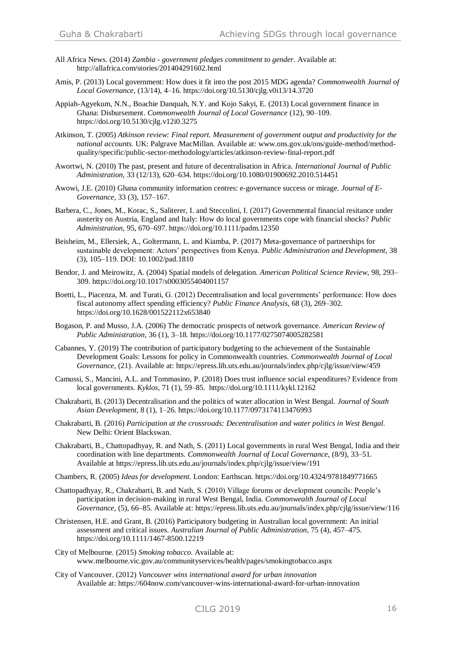- All Africa News. (2014) *Zambia - government pledges commitment to gender*. Available at: <http://allafrica.com/stories/201404291602.html>
- Amis, P. (2013) Local government: How does it fit into the post 2015 MDG agenda? *Commonwealth Journal of Local Governance,* (13/14), 4–16. <https://doi.org/10.5130/cjlg.v0i13/14.3720>
- Appiah-Agyekum, N.N., Boachie Danquah, N.Y. and Kojo Sakyi, E. (2013) Local government finance in Ghana: Disbursement. *Commonwealth Journal of Local Governance* (12), 90–109. <https://doi.org/10.5130/cjlg.v12i0.3275>
- Atkinson, T. (2005) *Atkinson review: Final report. Measurement of government output and productivity for the national accounts*. UK: Palgrave MacMillan. Available at: [www.ons.gov.uk/ons/guide-method/method](http://www.ons.gov.uk/ons/guide-method/method-quality/specific/public-sector-methodology/articles/atkinson-review-final-report.pdf)[quality/specific/public-sector-methodology/articles/atkinson-review-final-report.pdf](http://www.ons.gov.uk/ons/guide-method/method-quality/specific/public-sector-methodology/articles/atkinson-review-final-report.pdf)
- Awortwi, N. (2010) The past, present and future of decentralisation in Africa. *International Journal of Public Administration,* 33 (12/13), 620–634. <https://doi.org/10.1080/01900692.2010.514451>
- Awowi, J.E. (2010) Ghana community information centres: e-governance success or mirage. *Journal of E-Governance,* 33 (3), 157–167.
- Barbera, C., Jones, M., Korac, S., Saliterer, I. and Steccolini, I. (2017) Governmental financial resitance under austerity on Austria, England and Italy: How do local governments cope with financial shocks? *Public Administration,* 95, 670–697. <https://doi.org/10.1111/padm.12350>
- Beisheim, M., Ellersiek, A., Goltermann, L. and Kiamba, P. (2017) Meta-governance of partnerships for sustainable development: Actors' perspectives from Kenya. *Public Administration and Development,* 38 (3), 105–119. DOI: 10.1002/pad.1810
- Bendor, J. and Meirowitz, A. (2004) Spatial models of delegation*. American Political Science Review,* 98*,* 293– 309. <https://doi.org/10.1017/s0003055404001157>
- Boetti, L., Piacenza, M. and Turati, G. (2012) Decentralisation and local governments' performance: How does fiscal autonomy affect spending efficiency? *Public Finance Analysis,* 68 (3), 269–302. <https://doi.org/10.1628/001522112x653840>
- Bogason, P. and Musso, J.A. (2006) The democratic prospects of network governance. *American Review of Public Administration,* 36 (1), 3–18. <https://doi.org/10.1177/0275074005282581>
- Cabannes, Y. (2019) The contribution of participatory budgeting to the achievement of the Sustainable Development Goals: Lessons for policy in Commonwealth countries. *Commonwealth Journal of Local Governance,* (21). Available at[: https://epress.lib.uts.edu.au/journals/index.php/cjlg/issue/view/459](https://epress.lib.uts.edu.au/journals/index.php/cjlg/issue/view/459)
- Camussi, S., Mancini, A.L. and Tommasino, P. (2018) Does trust influence social expenditures? Evidence from local governments. *Kyklos,* 71 (1), 59–85. <https://doi.org/10.1111/kykl.12162>
- Chakrabarti, B. (2013) Decentralisation and the politics of water allocation in West Bengal. *Journal of South Asian Development,* 8 (1), 1–26. <https://doi.org/10.1177/0973174113476993>
- Chakrabarti, B. (2016) *Participation at the crossroads: Decentralisation and water politics in West Bengal.* New Delhi: Orient Blackswan.
- Chakrabarti, B., Chattopadhyay, R. and Nath, S. (2011) Local governments in rural West Bengal, India and their coordination with line departments. *Commonwealth Journal of Local Governance,* (8/9), 33–51. Available at <https://epress.lib.uts.edu.au/journals/index.php/cjlg/issue/view/191>
- Chambers, R. (2005) *Ideas for development.* London: Earthscan.<https://doi.org/10.4324/9781849771665>
- Chattopadhyay, R., Chakrabarti, B. and Nath, S. (2010) Village forums or development councils: People's participation in decision-making in rural West Bengal, India. *Commonwealth Journal of Local Governance,* (5), 66–85. Available at: <https://epress.lib.uts.edu.au/journals/index.php/cjlg/issue/view/116>
- Christensen, H.E. and Grant, B. (2016) Participatory budgeting in Australian local government: An initial assessment and critical issues. *Australian Journal of Public Administration,* 75 (4), 457–475. <https://doi.org/10.1111/1467-8500.12219>
- City of Melbourne. (2015) *Smoking tobacco*. Available at: [www.melbourne.vic.gov.au/communityservices/health/pages/smokingtobacco.aspx](http://www.melbourne.vic.gov.au/communityservices/health/pages/smokingtobacco.aspx)
- City of Vancouver. (2012) *Vancouver wins international award for urban innovation* Available at: <https://604now.com/vancouver-wins-international-award-for-urban-innovation>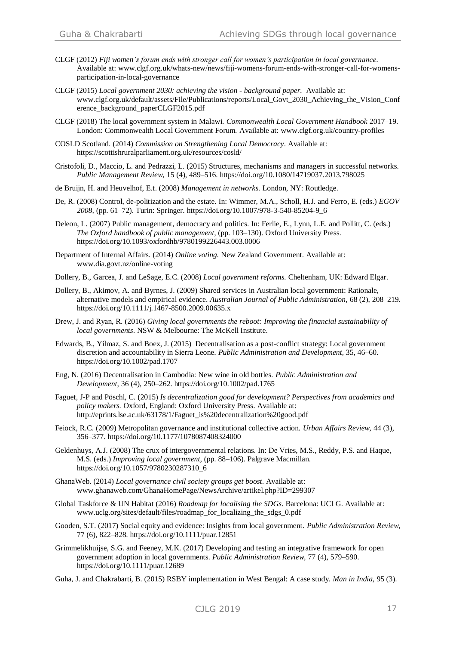- CLGF (2012) *Fiji women's forum ends with stronger call for women's participation in local governance.* Available at: [www.clgf.org.uk/whats-new/news/fiji-womens-forum-ends-with-stronger-call-for-womens](http://www.clgf.org.uk/whats-new/news/fiji-womens-forum-ends-with-stronger-call-for-womens-participation-in-local-governance)[participation-in-local-governance](http://www.clgf.org.uk/whats-new/news/fiji-womens-forum-ends-with-stronger-call-for-womens-participation-in-local-governance)
- CLGF (2015) *Local government 2030: achieving the vision* **-** *background paper.* Available at: [www.clgf.org.uk/default/assets/File/Publications/reports/Local\\_Govt\\_2030\\_Achieving\\_the\\_Vision\\_Conf](http://www.clgf.org.uk/default/assets/File/Publications/reports/Local_Govt_2030_Achieving_the_Vision_Conference_background_paperCLGF2015.pdf) [erence\\_background\\_paperCLGF2015.pdf](http://www.clgf.org.uk/default/assets/File/Publications/reports/Local_Govt_2030_Achieving_the_Vision_Conference_background_paperCLGF2015.pdf)
- CLGF (2018) The local government system in Malawi. *Commonwealth Local Government Handbook* 2017–19. London: Commonwealth Local Government Forum. Available at[: www.clgf.org.uk/country-profiles](http://www.clgf.org.uk/country-profiles)
- COSLD Scotland. (2014) *Commission on Strengthening Local Democracy*. Available at: <https://scottishruralparliament.org.uk/resources/cosld/>
- Cristofoli, D., Maccio, L. and Pedrazzi, L. (2015) Structures, mechanisms and managers in successful networks. *Public Management Review,* 15 (4), 489–516. <https://doi.org/10.1080/14719037.2013.798025>
- de Bruijn, H. and Heuvelhof, E.t. (2008) *Management in networks.* London, NY: Routledge.
- De, R. (2008) Control, de-politization and the estate. In: Wimmer, M.A., Scholl, H.J. and Ferro, E. (eds.) *EGOV 2008,* (pp. 61–72). Turin: Springer. [https://doi.org/10.1007/978-3-540-85204-9\\_6](https://doi.org/10.1007/978-3-540-85204-9_6)
- Deleon, L. (2007) Public management, democracy and politics. In: Ferlie, E., Lynn, L.E. and Pollitt, C. (eds.) *The Oxford handbook of public management,* (pp. 103–130). Oxford University Press. <https://doi.org/10.1093/oxfordhb/9780199226443.003.0006>
- Department of Internal Affairs. (2014) *Online voting.* New Zealand Government. Available at: [www.dia.govt.nz/online-voting](http://www.dia.govt.nz/online-voting)
- Dollery, B., Garcea, J. and LeSage, E.C. (2008) *Local government reforms.* Cheltenham, UK: Edward Elgar.
- Dollery, B., Akimov, A. and Byrnes, J. (2009) Shared services in Australian local government: Rationale, alternative models and empirical evidence. *Australian Journal of Public Administration,* 68 (2), 208–219. <https://doi.org/10.1111/j.1467-8500.2009.00635.x>
- Drew, J. and Ryan, R. (2016) *Giving local governments the reboot: Improving the financial sustainability of local governments*. NSW & Melbourne: The McKell Institute.
- Edwards, B., Yilmaz, S. and Boex, J. (2015) Decentralisation as a post-conflict strategy: Local government discretion and accountability in Sierra Leone. *Public Administration and Development,* 35*,* 46–60. <https://doi.org/10.1002/pad.1707>
- Eng, N. (2016) Decentralisation in Cambodia: New wine in old bottles. *Public Administration and Development,* 36 (4)*,* 250–262. <https://doi.org/10.1002/pad.1765>
- Faguet, J-P and Pöschl, C. (2015) *Is decentralization good for development? Perspectives from academics and policy makers.* Oxford, England: Oxford University Press. Available at: [http://eprints.lse.ac.uk/63178/1/Faguet\\_is%20decentralization%20good.pdf](http://eprints.lse.ac.uk/63178/1/Faguet_is%20decentralization%20good.pdf)
- Feiock, R.C. (2009) Metropolitan governance and institutional collective action. *Urban Affairs Review,* 44 (3), 356–377. <https://doi.org/10.1177/1078087408324000>
- Geldenhuys, A.J. (2008) The crux of intergovernmental relations. In: De Vries, M.S., Reddy, P.S. and Haque, M.S. (eds.) *Improving local government,* (pp. 88–106). Palgrave Macmillan. [https://doi.org/10.1057/9780230287310\\_6](https://doi.org/10.1057/9780230287310_6)
- GhanaWeb. (2014) *Local governance civil society groups get boost*. Available at: [www.ghanaweb.com/GhanaHomePage/NewsArchive/artikel.php?ID=299307](http://www.ghanaweb.com/GhanaHomePage/NewsArchive/artikel.php?ID=299307)
- Global Taskforce & UN Habitat (2016) *Roadmap for localising the SDGs*. Barcelona: UCLG. Available at: [www.uclg.org/sites/default/files/roadmap\\_for\\_localizing\\_the\\_sdgs\\_0.pdf](http://www.uclg.org/sites/default/files/roadmap_for_localizing_the_sdgs_0.pdf)
- Gooden, S.T. (2017) Social equity and evidence: Insights from local government. *Public Administration Review,*  77 (6), 822–828. <https://doi.org/10.1111/puar.12851>
- Grimmelikhuijse, S.G. and Feeney, M.K. (2017) Developing and testing an integrative framework for open government adoption in local governments. *Public Administration Review,* 77 (4), 579–590. <https://doi.org/10.1111/puar.12689>
- Guha, J. and Chakrabarti, B. (2015) RSBY implementation in West Bengal: A case study. *Man in India,* 95 (3).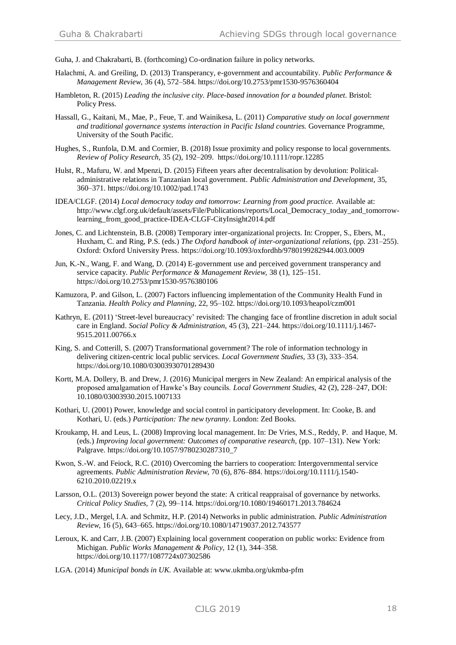Guha, J. and Chakrabarti, B. (forthcoming) Co-ordination failure in policy networks.

- Halachmi, A. and Greiling, D. (2013) Transperancy, e-government and accountability. *Public Performance & Management Review,* 36 (4), 572–584. <https://doi.org/10.2753/pmr1530-9576360404>
- Hambleton, R. (2015) *Leading the inclusive city. Place-based innovation for a bounded planet*. Bristol: Policy Press.
- Hassall, G., Kaitani, M., Mae, P., Feue, T. and Wainikesa, L. (2011) *Comparative study on local government and traditional governance systems interaction in Pacific Island countries.* Governance Programme, University of the South Pacific.
- Hughes, S., Runfola, D.M. and Cormier, B. (2018) Issue proximity and policy response to local governments. *Review of Policy Research,* 35 (2), 192–209. <https://doi.org/10.1111/ropr.12285>
- Hulst, R., Mafuru, W. and Mpenzi, D. (2015) Fifteen years after decentralisation by devolution: Politicaladministrative relations in Tanzanian local government. *Public Administration and Development,* 35, 360–371.<https://doi.org/10.1002/pad.1743>
- IDEA/CLGF. (2014) *Local democracy today and tomorrow: Learning from good practice.* Available at: [http://www.clgf.org.uk/default/assets/File/Publications/reports/Local\\_Democracy\\_today\\_and\\_tomorrow](http://www.clgf.org.uk/default/assets/File/Publications/reports/Local_Democracy_today_and_tomorrow-learning_from_good_practice-IDEA-CLGF-CityInsight2014.pdf)learning from good practice-IDEA-CLGF-CityInsight2014.pdf
- Jones, C. and Lichtenstein, B.B. (2008) Temporary inter-organizational projects. In: Cropper, S., Ebers, M., Huxham, C. and Ring, P.S. (eds.) *The Oxford handbook of inter-organizational relations,* (pp. 231–255). Oxford: Oxford University Press. <https://doi.org/10.1093/oxfordhb/9780199282944.003.0009>
- Jun, K.-N., Wang, F. and Wang, D. (2014) E-government use and perceived government transperancy and service capacity. *Public Performance & Management Review,* 38 (1), 125–151. <https://doi.org/10.2753/pmr1530-9576380106>
- Kamuzora, P. and Gilson, L. (2007) Factors influencing implementation of the Community Health Fund in Tanzania. *Health Policy and Planning,* 22, 95–102. <https://doi.org/10.1093/heapol/czm001>
- Kathryn, E. (2011) 'Street-level bureaucracy' revisited: The changing face of frontline discretion in adult social care in England. *Social Policy & Administration,* 45 (3), 221–244. [https://doi.org/10.1111/j.1467-](https://doi.org/10.1111/j.1467-9515.2011.00766.x) [9515.2011.00766.x](https://doi.org/10.1111/j.1467-9515.2011.00766.x)
- King, S. and Cotterill, S. (2007) Transformational government? The role of information technology in delivering citizen-centric local public services. *Local Government Studies,* 33 (3), 333–354. <https://doi.org/10.1080/03003930701289430>
- Kortt, M.A. Dollery, B. and Drew, J. (2016) Municipal mergers in New Zealand: An empirical analysis of the proposed amalgamation of Hawke's Bay councils. *Local Government Studies*, 42 (2), 228–247, DOI: 10.1080/03003930.2015.1007133
- Kothari, U. (2001) Power, knowledge and social control in participatory development. In: Cooke, B. and Kothari, U. (eds.) *Participation: The new tyranny*. London: Zed Books.
- Kroukamp, H. and Leus, L. (2008) Improving local management. In: De Vries, M.S., Reddy, P. and Haque, M. (eds.) *Improving local government: Outcomes of comparative research,* (pp. 107–131). New York: Palgrave. [https://doi.org/10.1057/9780230287310\\_7](https://doi.org/10.1057/9780230287310_7)
- Kwon, S.-W. and Feiock, R.C. (2010) Overcoming the barriers to cooperation: Intergovernmental service agreements. *Public Administration Review,* 70 (6), 876–884. [https://doi.org/10.1111/j.1540-](https://doi.org/10.1111/j.1540-6210.2010.02219.x) [6210.2010.02219.x](https://doi.org/10.1111/j.1540-6210.2010.02219.x)
- Larsson, O.L. (2013) Sovereign power beyond the state: A critical reappraisal of governance by networks. *Critical Policy Studies,* 7 (2), 99–114. <https://doi.org/10.1080/19460171.2013.784624>
- Lecy, J.D., Mergel, I.A. and Schmitz, H.P. (2014) Networks in public administration. *Public Administration Review,* 16 (5), 643–665. <https://doi.org/10.1080/14719037.2012.743577>
- Leroux, K. and Carr, J.B. (2007) Explaining local government cooperation on public works: Evidence from Michigan. *Public Works Management & Policy,* 12 (1), 344–358. <https://doi.org/10.1177/1087724x07302586>
- LGA. (2014) *Municipal bonds in UK.* Available at[: www.ukmba.org/ukmba-pfm](http://www.ukmba.org/ukmba-pfm)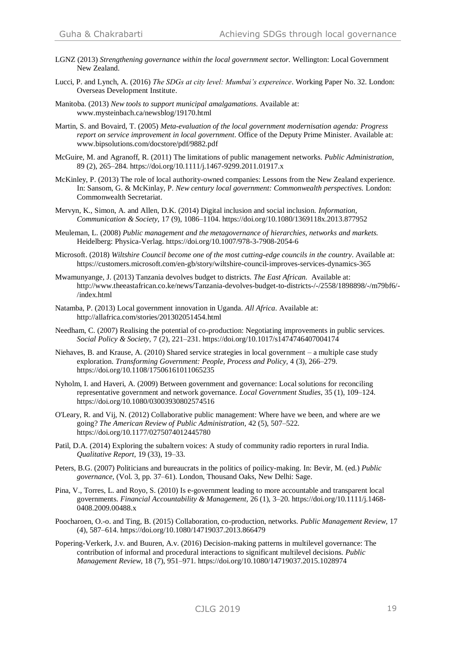- LGNZ (2013) *Strengthening governance within the local government sector.* Wellington: Local Government New Zealand.
- Lucci, P. and Lynch, A. (2016) *The SDGs at city level: Mumbai's expereince*. Working Paper No. 32. London: Overseas Development Institute.
- Manitoba. (2013) *New tools to support municipal amalgamations*. Available at: [www.mysteinbach.ca/newsblog/19170.html](http://www.mysteinbach.ca/newsblog/19170.html)
- Martin, S. and Bovaird, T. (2005) *Meta-evaluation of the local government modernisation agenda: Progress report on service improvement in local government*. Office of the Deputy Prime Minister. Available at: [www.bipsolutions.com/docstore/pdf/9882.pdf](http://www.bipsolutions.com/docstore/pdf/9882.pdf)
- McGuire, M. and Agranoff, R. (2011) The limitations of public management networks. *Public Administration,*  89 (2), 265–284. <https://doi.org/10.1111/j.1467-9299.2011.01917.x>
- McKinley, P. (2013) The role of local authority-owned companies: Lessons from the New Zealand experience. In: Sansom, G. & McKinlay, P. *New century local government: Commonwealth perspectives.* London: Commonwealth Secretariat.
- Mervyn, K., Simon, A. and Allen, D.K. (2014) Digital inclusion and social inclusion. *Information, Communication & Society,* 17 (9), 1086–1104. <https://doi.org/10.1080/1369118x.2013.877952>
- Meuleman, L. (2008) *Public management and the metagovernance of hierarchies, networks and markets.* Heidelberg: Physica-Verlag. <https://doi.org/10.1007/978-3-7908-2054-6>
- Microsoft. (2018) *Wiltshire Council become one of the most cutting-edge councils in the country*. Available at: <https://customers.microsoft.com/en-gb/story/wiltshire-council-improves-services-dynamics-365>
- Mwamunyange, J. (2013) Tanzania devolves budget to districts. *The East African.* Available at: [http://www.theeastafrican.co.ke/news/Tanzania-devolves-budget-to-districts-/-/2558/1898898/-/m79bf6/-](http://www.theeastafrican.co.ke/news/Tanzania-devolves-budget-to-districts-/-/2558/1898898/-/m79bf6/-/index.html) [/index.html](http://www.theeastafrican.co.ke/news/Tanzania-devolves-budget-to-districts-/-/2558/1898898/-/m79bf6/-/index.html)
- Natamba, P. (2013) Local government innovation in Uganda. *All Africa*. Available at: <http://allafrica.com/stories/201302051454.html>
- Needham, C. (2007) Realising the potential of co-production: Negotiating improvements in public services. *Social Policy & Society,* 7 (2), 221–231. <https://doi.org/10.1017/s1474746407004174>
- Niehaves, B. and Krause, A. (2010) Shared service strategies in local government a multiple case study exploration. *Transforming Government: People, Process and Policy,* 4 (3), 266–279. <https://doi.org/10.1108/17506161011065235>
- Nyholm, I. and Haveri, A. (2009) Between government and governance: Local solutions for reconciling representative government and network governance. *Local Government Studies*, 35 (1), 109–124. <https://doi.org/10.1080/03003930802574516>
- O'Leary, R. and Vij, N. (2012) Collaborative public management: Where have we been, and where are we going? *The American Review of Public Administration,* 42 (5), 507–522. <https://doi.org/10.1177/0275074012445780>
- Patil, D.A. (2014) Exploring the subaltern voices: A study of community radio reporters in rural India. *Qualitative Report,* 19 (33), 19–33.
- Peters, B.G. (2007) Politicians and bureaucrats in the politics of poilicy-making. In: Bevir, M. (ed.) *Public governance,* (Vol. 3, pp. 37–61). London, Thousand Oaks, New Delhi: Sage.
- Pina, V., Torres, L. and Royo, S. (2010) Is e-government leading to more accountable and transparent local governments. *Financial Accountability & Management,* 26 (1), 3–20. [https://doi.org/10.1111/j.1468-](https://doi.org/10.1111/j.1468-0408.2009.00488.x) [0408.2009.00488.x](https://doi.org/10.1111/j.1468-0408.2009.00488.x)
- Poocharoen, O.-o. and Ting, B. (2015) Collaboration, co-production, networks. *Public Management Review,* 17 (4), 587–614. <https://doi.org/10.1080/14719037.2013.866479>
- Popering-Verkerk, J.v. and Buuren, A.v. (2016) Decision-making patterns in multilevel governance: The contribution of informal and procedural interactions to significant multilevel decisions. *Public Management Review*, 18 (7), 951–971.<https://doi.org/10.1080/14719037.2015.1028974>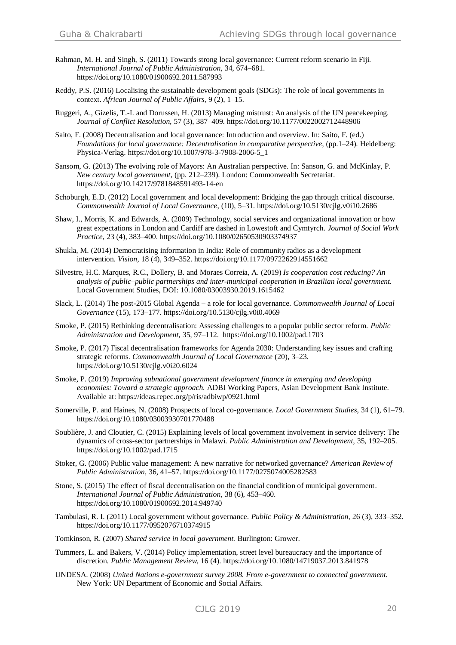- Rahman, M. H. and Singh, S. (2011) Towards strong local governance: Current reform scenario in Fiji. *International Journal of Public Administration,* 34, 674–681. <https://doi.org/10.1080/01900692.2011.587993>
- Reddy, P.S. (2016) Localising the sustainable development goals (SDGs): The role of local governments in context. *African Journal of Public Affairs,* 9 (2), 1–15.
- Ruggeri, A., Gizelis, T.-I. and Dorussen, H. (2013) Managing mistrust: An analysis of the UN peacekeeping. *Journal of Conflict Resolution,* 57 (3), 387–409. <https://doi.org/10.1177/0022002712448906>
- Saito, F. (2008) Decentralisation and local governance: Introduction and overview. In: Saito, F. (ed.) *Foundations for local governance: Decentralisation in comparative perspective,* (pp.1–24). Heidelberg: Physica-Verlag. [https://doi.org/10.1007/978-3-7908-2006-5\\_1](https://doi.org/10.1007/978-3-7908-2006-5_1)
- Sansom, G. (2013) The evolving role of Mayors: An Australian perspective. In: Sanson, G. and McKinlay, P. *New century local government,* (pp. 212–239). London: Commonwealth Secretariat. <https://doi.org/10.14217/9781848591493-14-en>
- Schoburgh, E.D. (2012) Local government and local development: Bridging the gap through critical discourse. *Commonwealth Journal of Local Governance*, (10), 5–31. <https://doi.org/10.5130/cjlg.v0i10.2686>
- Shaw, I., Morris, K. and Edwards, A. (2009) Technology, social services and organizational innovation or how great expectations in London and Cardiff are dashed in Lowestoft and Cymtyrch. *Journal of Social Work Practice*, 23 (4), 383–400. <https://doi.org/10.1080/02650530903374937>
- Shukla, M. (2014) Democratising information in India: Role of community radios as a development intervention. *Vision,* 18 (4), 349–352. <https://doi.org/10.1177/0972262914551662>
- Silvestre, H.C. Marques, R.C., Dollery, B. and Moraes Correia, A. (2019) *Is cooperation cost reducing? An analysis of public–public partnerships and inter-municipal cooperation in Brazilian local government.* Local Government Studies, DOI: 10.1080/03003930.2019.1615462
- Slack, L. (2014) The post-2015 Global Agenda a role for local governance. *Commonwealth Journal of Local Governance* (15), 173–177. <https://doi.org/10.5130/cjlg.v0i0.4069>
- Smoke, P. (2015) Rethinking decentralisation: Assessing challenges to a popular public sector reform. *Public Administration and Development,* 35*,* 97–112.<https://doi.org/10.1002/pad.1703>
- Smoke, P. (2017) Fiscal decentralisation frameworks for Agenda 2030: Understanding key issues and crafting strategic reforms. *Commonwealth Journal of Local Governance* (20), 3–23. <https://doi.org/10.5130/cjlg.v0i20.6024>
- Smoke, P. (2019) *Improving subnational government development finance in emerging and developing economies: Toward a strategic approach.* ADBI Working Papers, Asian Development Bank Institute. Available at: <https://ideas.repec.org/p/ris/adbiwp/0921.html>
- Somerville, P. and Haines, N. (2008) Prospects of local co-governance. *Local Government Studies,* 34 (1), 61–79. <https://doi.org/10.1080/03003930701770488>
- Soublière, J. and Cloutier, C. (2015) Explaining levels of local government involvement in service delivery: The dynamics of cross-sector partnerships in Malawi. *Public Administration and Development,* 35*,* 192–205. <https://doi.org/10.1002/pad.1715>
- Stoker, G. (2006) Public value management: A new narrative for networked governance? *American Review of Public Administration,* 36, 41–57. <https://doi.org/10.1177/0275074005282583>
- Stone, S. (2015) The effect of fiscal decentralisation on the financial condition of municipal government. *International Journal of Public Administration,* 38 (6), 453–460. <https://doi.org/10.1080/01900692.2014.949740>
- Tambulasi, R. I. (2011) Local government without governance. *Public Policy & Administration,* 26 (3), 333–352. <https://doi.org/10.1177/0952076710374915>
- Tomkinson, R. (2007) *Shared service in local government.* Burlington: Grower.
- Tummers, L. and Bakers, V. (2014) Policy implementation, street level bureaucracy and the importance of discretion. *Public Management Review,* 16 (4). <https://doi.org/10.1080/14719037.2013.841978>
- UNDESA. (2008) *United Nations e-government survey 2008. From e-government to connected government.* New York: UN Department of Economic and Social Affairs.

CJLG 2019 20